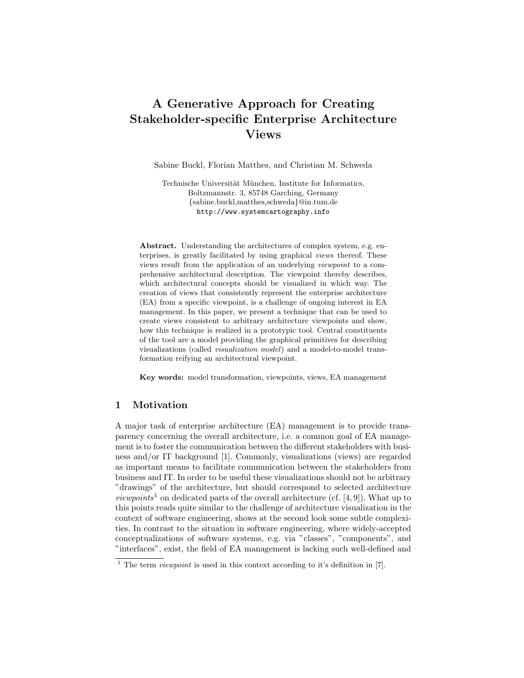# A Generative Approach for Creating Stakeholder-specific Enterprise Architecture Views

Sabine Buckl, Florian Matthes, and Christian M. Schweda

Technische Universität München, Institute for Informatics, Boltzmannstr. 3, 85748 Garching, Germany {sabine.buckl,matthes,schweda}@in.tum.de http://www.systemcartography.info

Abstract. Understanding the architectures of complex system, e.g. enterprises, is greatly facilitated by using graphical views thereof. These views result from the application of an underlying viewpoint to a comprehensive architectural description. The viewpoint thereby describes, which architectural concepts should be visualized in which way. The creation of views that consistently represent the enterprise architecture (EA) from a specific viewpoint, is a challenge of ongoing interest in EA management. In this paper, we present a technique that can be used to create views consistent to arbitrary architecture viewpoints and show, how this technique is realized in a prototypic tool. Central constituents of the tool are a model providing the graphical primitives for describing visualizations (called visualization model) and a model-to-model transformation reifying an architectural viewpoint.

Key words: model transformation, viewpoints, views, EA management

# 1 Motivation

A major task of enterprise architecture (EA) management is to provide transparency concerning the overall architecture, i.e. a common goal of EA management is to foster the communication between the different stakeholders with business and/or IT background [1]. Commonly, visualizations (views) are regarded as important means to facilitate communication between the stakeholders from business and IT. In order to be useful these visualizations should not be arbitrary "drawings" of the architecture, but should correspond to selected architecture *viewpoints*<sup>1</sup> on dedicated parts of the overall architecture (cf. [4, 9]). What up to this points reads quite similar to the challenge of architecture visualization in the context of software engineering, shows at the second look some subtle complexities. In contrast to the situation in software engineering, where widely-accepted conceptualizations of software systems, e.g. via "classes", "components", and "interfaces", exist, the field of EA management is lacking such well-defined and

<sup>&</sup>lt;sup>1</sup> The term *viewpoint* is used in this context according to it's definition in [7].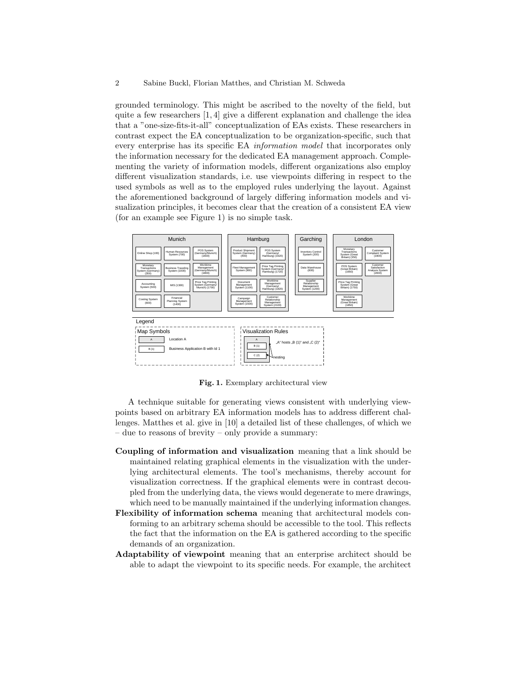grounded terminology. This might be ascribed to the novelty of the field, but quite a few researchers [1, 4] give a different explanation and challenge the idea that a "one-size-fits-it-all" conceptualization of EAs exists. These researchers in contrast expect the EA conceptualization to be organization-specific, such that every enterprise has its specific EA information model that incorporates only the information necessary for the dedicated EA management approach. Complementing the variety of information models, different organizations also employ different visualization standards, i.e. use viewpoints differing in respect to the used symbols as well as to the employed rules underlying the layout. Against the aforementioned background of largely differing information models and visualization principles, it becomes clear that the creation of a consistent EA view (for an example see Figure 1) is no simple task.



Fig. 1. Exemplary architectural view

A technique suitable for generating views consistent with underlying viewpoints based on arbitrary EA information models has to address different challenges. Matthes et al. give in [10] a detailed list of these challenges, of which we – due to reasons of brevity – only provide a summary:

- Coupling of information and visualization meaning that a link should be maintained relating graphical elements in the visualization with the underlying architectural elements. The tool's mechanisms, thereby account for visualization correctness. If the graphical elements were in contrast decoupled from the underlying data, the views would degenerate to mere drawings, which need to be manually maintained if the underlying information changes.
- Flexibility of information schema meaning that architectural models conforming to an arbitrary schema should be accessible to the tool. This reflects the fact that the information on the EA is gathered according to the specific demands of an organization.
- Adaptability of viewpoint meaning that an enterprise architect should be able to adapt the viewpoint to its specific needs. For example, the architect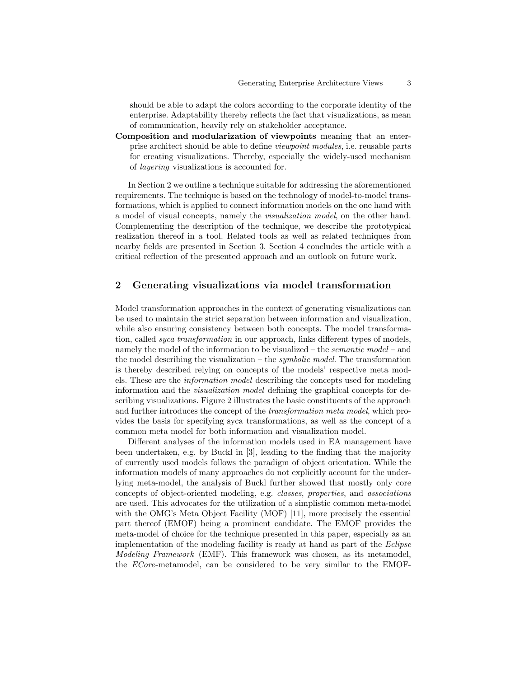should be able to adapt the colors according to the corporate identity of the enterprise. Adaptability thereby reflects the fact that visualizations, as mean of communication, heavily rely on stakeholder acceptance.

Composition and modularization of viewpoints meaning that an enterprise architect should be able to define viewpoint modules, i.e. reusable parts for creating visualizations. Thereby, especially the widely-used mechanism of layering visualizations is accounted for.

In Section 2 we outline a technique suitable for addressing the aforementioned requirements. The technique is based on the technology of model-to-model transformations, which is applied to connect information models on the one hand with a model of visual concepts, namely the visualization model, on the other hand. Complementing the description of the technique, we describe the prototypical realization thereof in a tool. Related tools as well as related techniques from nearby fields are presented in Section 3. Section 4 concludes the article with a critical reflection of the presented approach and an outlook on future work.

## 2 Generating visualizations via model transformation

Model transformation approaches in the context of generating visualizations can be used to maintain the strict separation between information and visualization, while also ensuring consistency between both concepts. The model transformation, called *syca transformation* in our approach, links different types of models, namely the model of the information to be visualized – the semantic model – and the model describing the visualization – the *symbolic model*. The transformation is thereby described relying on concepts of the models' respective meta models. These are the information model describing the concepts used for modeling information and the visualization model defining the graphical concepts for describing visualizations. Figure 2 illustrates the basic constituents of the approach and further introduces the concept of the transformation meta model, which provides the basis for specifying syca transformations, as well as the concept of a common meta model for both information and visualization model.

Different analyses of the information models used in EA management have been undertaken, e.g. by Buckl in [3], leading to the finding that the majority of currently used models follows the paradigm of object orientation. While the information models of many approaches do not explicitly account for the underlying meta-model, the analysis of Buckl further showed that mostly only core concepts of object-oriented modeling, e.g. classes, properties, and associations are used. This advocates for the utilization of a simplistic common meta-model with the OMG's Meta Object Facility (MOF) [11], more precisely the essential part thereof (EMOF) being a prominent candidate. The EMOF provides the meta-model of choice for the technique presented in this paper, especially as an implementation of the modeling facility is ready at hand as part of the Eclipse Modeling Framework (EMF). This framework was chosen, as its metamodel, the ECore-metamodel, can be considered to be very similar to the EMOF-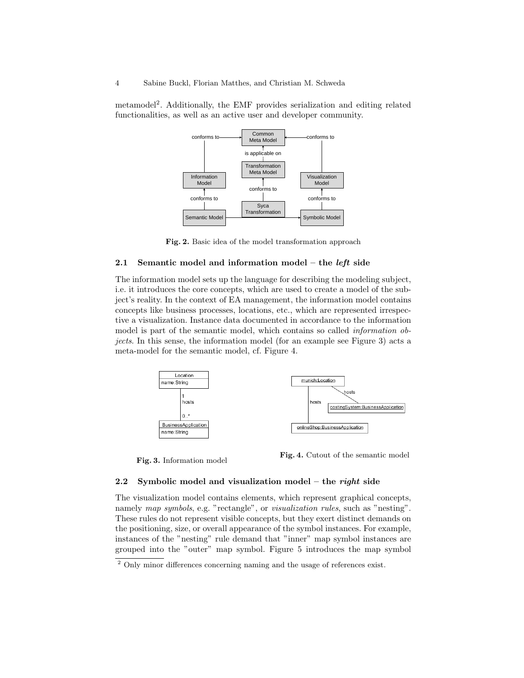metamodel<sup>2</sup> . Additionally, the EMF provides serialization and editing related functionalities, as well as an active user and developer community.



Fig. 2. Basic idea of the model transformation approach

## 2.1 Semantic model and information model – the *left* side

The information model sets up the language for describing the modeling subject, i.e. it introduces the core concepts, which are used to create a model of the subject's reality. In the context of EA management, the information model contains concepts like business processes, locations, etc., which are represented irrespective a visualization. Instance data documented in accordance to the information model is part of the semantic model, which contains so called *information ob*jects. In this sense, the information model (for an example see Figure 3) acts a meta-model for the semantic model, cf. Figure 4.



Fig. 3. Information model Fig. 4. Cutout of the semantic model

#### 2.2 Symbolic model and visualization model – the right side

The visualization model contains elements, which represent graphical concepts, namely map symbols, e.g. "rectangle", or visualization rules, such as "nesting". These rules do not represent visible concepts, but they exert distinct demands on the positioning, size, or overall appearance of the symbol instances. For example, instances of the "nesting" rule demand that "inner" map symbol instances are grouped into the "outer" map symbol. Figure 5 introduces the map symbol

<sup>&</sup>lt;sup>2</sup> Only minor differences concerning naming and the usage of references exist.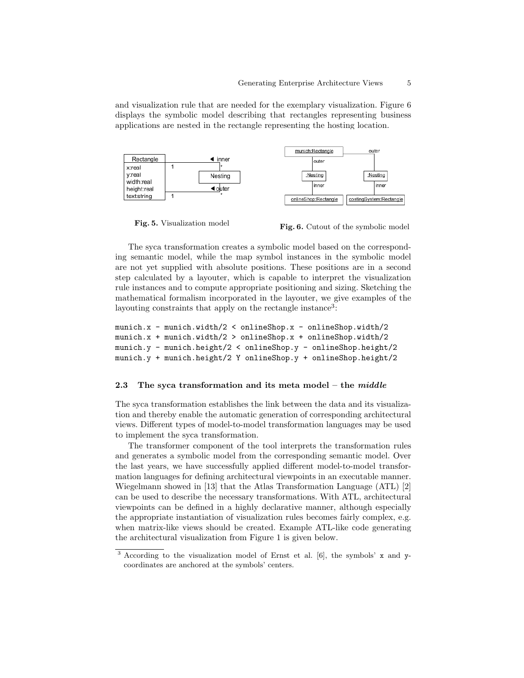and visualization rule that are needed for the exemplary visualization. Figure 6 displays the symbolic model describing that rectangles representing business applications are nested in the rectangle representing the hosting location.



Fig. 5. Visualization model<br>Fig. 6. Cutout of the symbolic model

The syca transformation creates a symbolic model based on the corresponding semantic model, while the map symbol instances in the symbolic model are not yet supplied with absolute positions. These positions are in a second step calculated by a layouter, which is capable to interpret the visualization rule instances and to compute appropriate positioning and sizing. Sketching the mathematical formalism incorporated in the layouter, we give examples of the layouting constraints that apply on the rectangle instance<sup>3</sup>:

```
munich.x - munich.width/2 < onlineShop.x - onlineShop.width/2
munich.x + munich.width/2 > onlineShop.x + onlineShop.width/2
munich.y - munich.height/2 < onlineShop.y - onlineShop.height/2
munich.y + munich.height/2 Y onlineShop.y + onlineShop.height/2
```
#### 2.3 The syca transformation and its meta model – the  $middle$

The syca transformation establishes the link between the data and its visualization and thereby enable the automatic generation of corresponding architectural views. Different types of model-to-model transformation languages may be used to implement the syca transformation.

The transformer component of the tool interprets the transformation rules and generates a symbolic model from the corresponding semantic model. Over the last years, we have successfully applied different model-to-model transformation languages for defining architectural viewpoints in an executable manner. Wiegelmann showed in [13] that the Atlas Transformation Language (ATL) [2] can be used to describe the necessary transformations. With ATL, architectural viewpoints can be defined in a highly declarative manner, although especially the appropriate instantiation of visualization rules becomes fairly complex, e.g. when matrix-like views should be created. Example ATL-like code generating the architectural visualization from Figure 1 is given below.

<sup>&</sup>lt;sup>3</sup> According to the visualization model of Ernst et al. [6], the symbols' x and ycoordinates are anchored at the symbols' centers.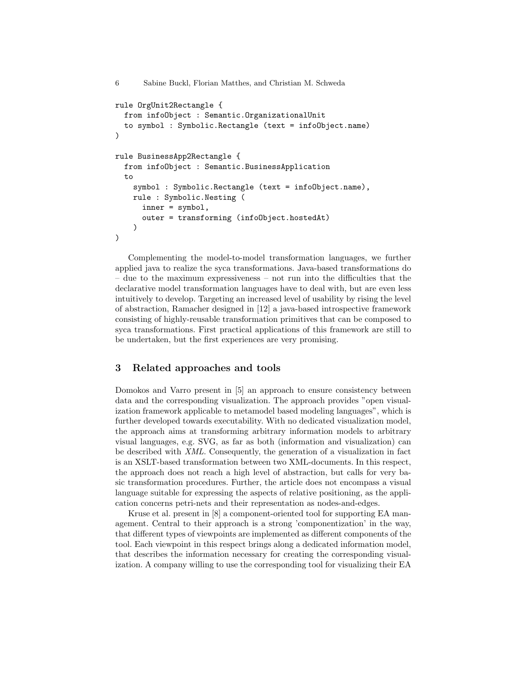```
6 Sabine Buckl, Florian Matthes, and Christian M. Schweda
rule OrgUnit2Rectangle {
 from infoObject : Semantic.OrganizationalUnit
  to symbol : Symbolic.Rectangle (text = infoObject.name)
)
rule BusinessApp2Rectangle {
  from infoObject : Semantic.BusinessApplication
  t<sub>0</sub>symbol : Symbolic.Rectangle (text = infoObject.name),
    rule : Symbolic.Nesting (
      inner = symbol,
      outer = transforming (infoObject.hostedAt)
    )
)
```
Complementing the model-to-model transformation languages, we further applied java to realize the syca transformations. Java-based transformations do – due to the maximum expressiveness – not run into the difficulties that the declarative model transformation languages have to deal with, but are even less intuitively to develop. Targeting an increased level of usability by rising the level of abstraction, Ramacher designed in [12] a java-based introspective framework consisting of highly-reusable transformation primitives that can be composed to syca transformations. First practical applications of this framework are still to be undertaken, but the first experiences are very promising.

# 3 Related approaches and tools

Domokos and Varro present in [5] an approach to ensure consistency between data and the corresponding visualization. The approach provides "open visualization framework applicable to metamodel based modeling languages", which is further developed towards executability. With no dedicated visualization model, the approach aims at transforming arbitrary information models to arbitrary visual languages, e.g. SVG, as far as both (information and visualization) can be described with XML. Consequently, the generation of a visualization in fact is an XSLT-based transformation between two XML-documents. In this respect, the approach does not reach a high level of abstraction, but calls for very basic transformation procedures. Further, the article does not encompass a visual language suitable for expressing the aspects of relative positioning, as the application concerns petri-nets and their representation as nodes-and-edges.

Kruse et al. present in [8] a component-oriented tool for supporting EA management. Central to their approach is a strong 'componentization' in the way, that different types of viewpoints are implemented as different components of the tool. Each viewpoint in this respect brings along a dedicated information model, that describes the information necessary for creating the corresponding visualization. A company willing to use the corresponding tool for visualizing their EA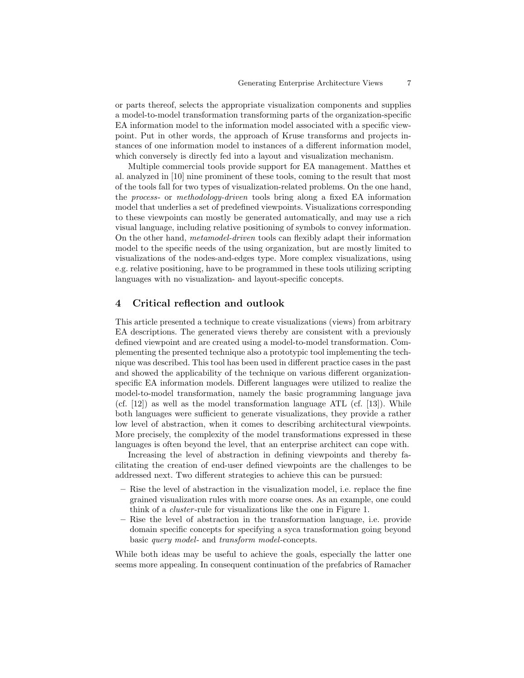or parts thereof, selects the appropriate visualization components and supplies a model-to-model transformation transforming parts of the organization-specific EA information model to the information model associated with a specific viewpoint. Put in other words, the approach of Kruse transforms and projects instances of one information model to instances of a different information model, which conversely is directly fed into a layout and visualization mechanism.

Multiple commercial tools provide support for EA management. Matthes et al. analyzed in [10] nine prominent of these tools, coming to the result that most of the tools fall for two types of visualization-related problems. On the one hand, the process- or methodology-driven tools bring along a fixed EA information model that underlies a set of predefined viewpoints. Visualizations corresponding to these viewpoints can mostly be generated automatically, and may use a rich visual language, including relative positioning of symbols to convey information. On the other hand, metamodel-driven tools can flexibly adapt their information model to the specific needs of the using organization, but are mostly limited to visualizations of the nodes-and-edges type. More complex visualizations, using e.g. relative positioning, have to be programmed in these tools utilizing scripting languages with no visualization- and layout-specific concepts.

# 4 Critical reflection and outlook

This article presented a technique to create visualizations (views) from arbitrary EA descriptions. The generated views thereby are consistent with a previously defined viewpoint and are created using a model-to-model transformation. Complementing the presented technique also a prototypic tool implementing the technique was described. This tool has been used in different practice cases in the past and showed the applicability of the technique on various different organizationspecific EA information models. Different languages were utilized to realize the model-to-model transformation, namely the basic programming language java (cf.  $[12]$ ) as well as the model transformation language ATL (cf.  $[13]$ ). While both languages were sufficient to generate visualizations, they provide a rather low level of abstraction, when it comes to describing architectural viewpoints. More precisely, the complexity of the model transformations expressed in these languages is often beyond the level, that an enterprise architect can cope with.

Increasing the level of abstraction in defining viewpoints and thereby facilitating the creation of end-user defined viewpoints are the challenges to be addressed next. Two different strategies to achieve this can be pursued:

- Rise the level of abstraction in the visualization model, i.e. replace the fine grained visualization rules with more coarse ones. As an example, one could think of a cluster -rule for visualizations like the one in Figure 1.
- Rise the level of abstraction in the transformation language, i.e. provide domain specific concepts for specifying a syca transformation going beyond basic query model- and transform model-concepts.

While both ideas may be useful to achieve the goals, especially the latter one seems more appealing. In consequent continuation of the prefabrics of Ramacher